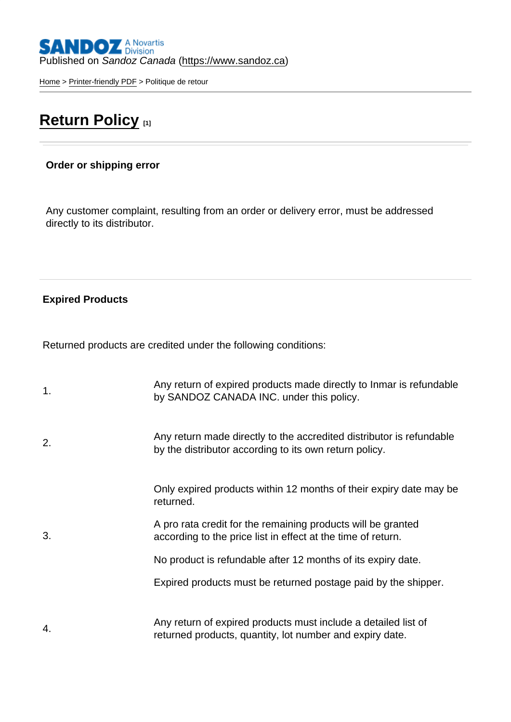## Published on Sandoz Canada [\(https://www.sandoz.ca](https://www.sandoz.ca))

[Home](https://www.sandoz.ca/en) > [Printer-friendly PDF](https://www.sandoz.ca/en/printpdf) > Politique de retour

## [Return Policy](https://www.sandoz.ca/en/return-policy) [1]

Order or shipping error

Any customer complaint, resulting from an order or delivery error, must be addressed directly to its distributor.

Expired Products

Returned products are credited under the following conditions:

| 1. | Any return of expired products made directly to Inmar is refundable<br>by SANDOZ CANADA INC. under this policy.                |
|----|--------------------------------------------------------------------------------------------------------------------------------|
| 2. | Any return made directly to the accredited distributor is refundable<br>by the distributor according to its own return policy. |
|    | Only expired products within 12 months of their expiry date may be<br>returned.                                                |
| 3. | A pro rata credit for the remaining products will be granted<br>according to the price list in effect at the time of return.   |
|    | No product is refundable after 12 months of its expiry date.                                                                   |
|    | Expired products must be returned postage paid by the shipper.                                                                 |
| 4. | Any return of expired products must include a detailed list of<br>returned products, quantity, lot number and expiry date.     |